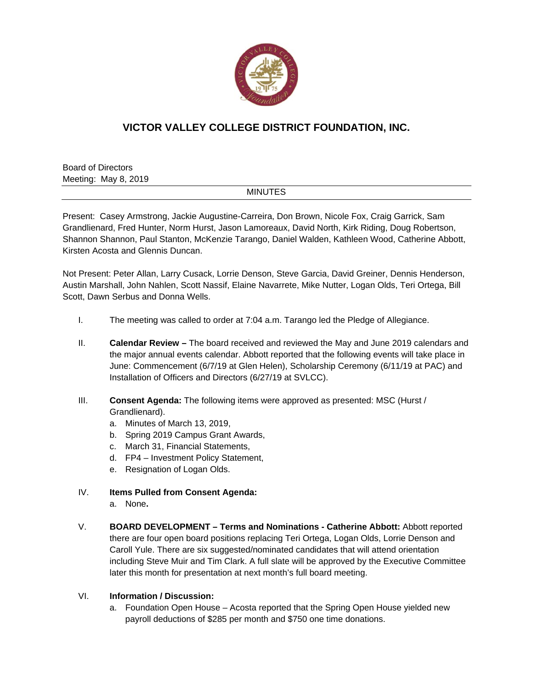

## **VICTOR VALLEY COLLEGE DISTRICT FOUNDATION, INC.**

Board of Directors Meeting: May 8, 2019

## MINUTES

Present: Casey Armstrong, Jackie Augustine-Carreira, Don Brown, Nicole Fox, Craig Garrick, Sam Grandlienard, Fred Hunter, Norm Hurst, Jason Lamoreaux, David North, Kirk Riding, Doug Robertson, Shannon Shannon, Paul Stanton, McKenzie Tarango, Daniel Walden, Kathleen Wood, Catherine Abbott, Kirsten Acosta and Glennis Duncan.

Not Present: Peter Allan, Larry Cusack, Lorrie Denson, Steve Garcia, David Greiner, Dennis Henderson, Austin Marshall, John Nahlen, Scott Nassif, Elaine Navarrete, Mike Nutter, Logan Olds, Teri Ortega, Bill Scott, Dawn Serbus and Donna Wells.

- I. The meeting was called to order at 7:04 a.m. Tarango led the Pledge of Allegiance.
- II. **Calendar Review** The board received and reviewed the May and June 2019 calendars and the major annual events calendar. Abbott reported that the following events will take place in June: Commencement (6/7/19 at Glen Helen), Scholarship Ceremony (6/11/19 at PAC) and Installation of Officers and Directors (6/27/19 at SVLCC).
- III. **Consent Agenda:** The following items were approved as presented: MSC (Hurst / Grandlienard).
	- a. Minutes of March 13, 2019,
	- b. Spring 2019 Campus Grant Awards,
	- c. March 31, Financial Statements,
	- d. FP4 Investment Policy Statement,
	- e. Resignation of Logan Olds.
- IV. **Items Pulled from Consent Agenda:** 
	- a. None**.**
- V. **BOARD DEVELOPMENT Terms and Nominations Catherine Abbott:** Abbott reported there are four open board positions replacing Teri Ortega, Logan Olds, Lorrie Denson and Caroll Yule. There are six suggested/nominated candidates that will attend orientation including Steve Muir and Tim Clark. A full slate will be approved by the Executive Committee later this month for presentation at next month's full board meeting.

## VI. **Information / Discussion:**

a. Foundation Open House – Acosta reported that the Spring Open House yielded new payroll deductions of \$285 per month and \$750 one time donations.